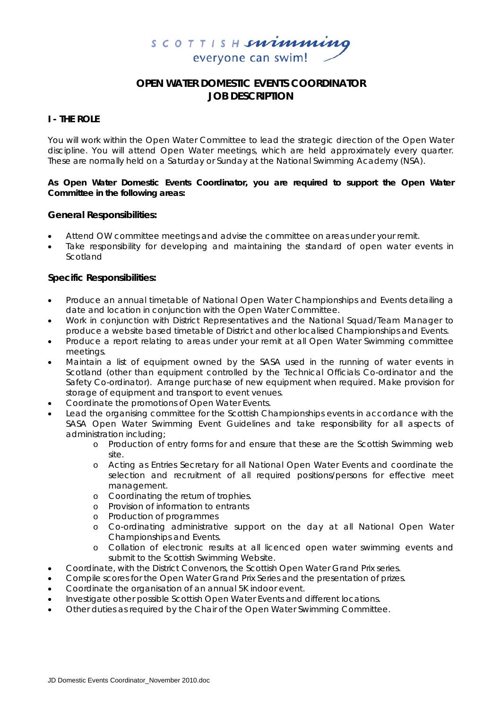

# **OPEN WATER DOMESTIC EVENTS COORDINATOR JOB DESCRIPTION**

# **I - THE ROLE**

You will work within the Open Water Committee to lead the strategic direction of the Open Water discipline. You will attend Open Water meetings, which are held approximately every quarter. These are normally held on a Saturday or Sunday at the National Swimming Academy (NSA).

### **As Open Water Domestic Events Coordinator, you are required to support the Open Water Committee in the following areas:**

### **General Responsibilities:**

- Attend OW committee meetings and advise the committee on areas under your remit.
- Take responsibility for developing and maintaining the standard of open water events in Scotland

## **Specific Responsibilities:**

- Produce an annual timetable of National Open Water Championships and Events detailing a date and location in conjunction with the Open Water Committee.
- Work in conjunction with District Representatives and the National Squad/Team Manager to produce a website based timetable of District and other localised Championships and Events.
- Produce a report relating to areas under your remit at all Open Water Swimming committee meetings.
- Maintain a list of equipment owned by the SASA used in the running of water events in Scotland (other than equipment controlled by the Technical Officials Co-ordinator and the Safety Co-ordinator). Arrange purchase of new equipment when required. Make provision for storage of equipment and transport to event venues.
- Coordinate the promotions of Open Water Events.
- Lead the organising committee for the Scottish Championships events in accordance with the SASA Open Water Swimming Event Guidelines and take responsibility for all aspects of administration including;
	- o Production of entry forms for and ensure that these are the Scottish Swimming web site.
	- o Acting as Entries Secretary for all National Open Water Events and coordinate the selection and recruitment of all required positions/persons for effective meet management.
	- o Coordinating the return of trophies.
	- o Provision of information to entrants
	- o Production of programmes
	- o Co-ordinating administrative support on the day at all National Open Water Championships and Events.
	- o Collation of electronic results at all licenced open water swimming events and submit to the Scottish Swimming Website.
- Coordinate, with the District Convenors, the Scottish Open Water Grand Prix series.
- Compile scores for the Open Water Grand Prix Series and the presentation of prizes.
- Coordinate the organisation of an annual 5K indoor event.
- Investigate other possible Scottish Open Water Events and different locations.
- Other duties as required by the Chair of the Open Water Swimming Committee.